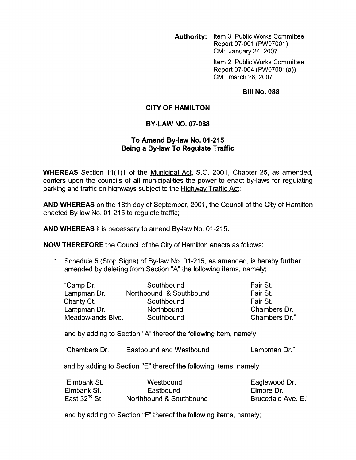**Authority:** Item **3,** Public Works Committee Report 07-001 (PW07001) CM: January 24,2007

> Item 2, Public Works Committee Report 07-004 (PW07001(a)) CM: march 28, 2007

## **Bill No. 088**

## **CITY OF HAMILTON**

## **BY-LAW NO. 07-088**

## **To Amend By-law No. 01-215 Being a By-law To Regulate Traffic**

**WHEREAS** Section 11(1)1 of the Municipal Act, S.O. 2001, Chapter 25, as amended, confers upon the councils of all municipalities the power to enact by-laws for regulating parking and traffic on highways subject to the Hiqhwav Traffic Act;

**AND WHEREAS** on the 18th day of September, 2001 , the Council of the City of Hamilton enacted By-law No. 01-215 to regulate traffic;

**AND WHEREAS** it is necessary to amend By-law No. 01-215.

**NOW THEREFORE** the Council of the City of Hamilton enacts as follows:

1. Schedule 5 (Stop Signs) of By-law No. 01-215, as amended, is hereby further amended by deleting from Section "A" the following items, namely;

| "Camp Dr.         | Southbound              | Fair St.      |
|-------------------|-------------------------|---------------|
| Lampman Dr.       | Northbound & Southbound | Fair St.      |
| Charity Ct.       | Southbound              | Fair St.      |
| Lampman Dr.       | Northbound              | Chambers Dr.  |
| Meadowlands Blvd. | Southbound              | Chambers Dr." |

and by adding to Section "A" thereof the following item, namely;

"Chambers Dr. Eastbound and Westbound Lampman Dr."

and by adding to Section "E" thereof the following items, namely:

| "Elmbank St.       | Westbound               | Eaglewood Dr.      |
|--------------------|-------------------------|--------------------|
| Elmbank St.        | Eastbound               | Elmore Dr.         |
| East $32^{nd}$ St. | Northbound & Southbound | Brucedale Ave. E." |

and by adding to Section "F" thereof the following items, namely;